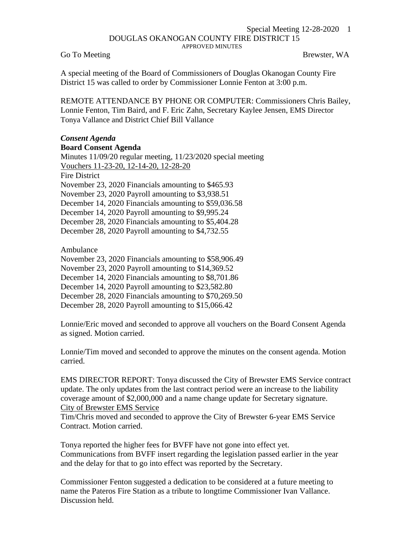## Special Meeting 12-28-2020 1 DOUGLAS OKANOGAN COUNTY FIRE DISTRICT 15 APPROVED MINUTES

Go To Meeting Go To Meeting Brewster, WA

A special meeting of the Board of Commissioners of Douglas Okanogan County Fire District 15 was called to order by Commissioner Lonnie Fenton at 3:00 p.m.

REMOTE ATTENDANCE BY PHONE OR COMPUTER: Commissioners Chris Bailey, Lonnie Fenton, Tim Baird, and F. Eric Zahn, Secretary Kaylee Jensen, EMS Director Tonya Vallance and District Chief Bill Vallance

## *Consent Agenda* **Board Consent Agenda**

Minutes 11/09/20 regular meeting, 11/23/2020 special meeting Vouchers 11-23-20, 12-14-20, 12-28-20 Fire District November 23, 2020 Financials amounting to \$465.93 November 23, 2020 Payroll amounting to \$3,938.51 December 14, 2020 Financials amounting to \$59,036.58 December 14, 2020 Payroll amounting to \$9,995.24 December 28, 2020 Financials amounting to \$5,404.28 December 28, 2020 Payroll amounting to \$4,732.55

Ambulance

November 23, 2020 Financials amounting to \$58,906.49

November 23, 2020 Payroll amounting to \$14,369.52

December 14, 2020 Financials amounting to \$8,701.86

December 14, 2020 Payroll amounting to \$23,582.80

December 28, 2020 Financials amounting to \$70,269.50

December 28, 2020 Payroll amounting to \$15,066.42

Lonnie/Eric moved and seconded to approve all vouchers on the Board Consent Agenda as signed. Motion carried.

Lonnie/Tim moved and seconded to approve the minutes on the consent agenda. Motion carried.

EMS DIRECTOR REPORT: Tonya discussed the City of Brewster EMS Service contract update. The only updates from the last contract period were an increase to the liability coverage amount of \$2,000,000 and a name change update for Secretary signature. City of Brewster EMS Service

Tim/Chris moved and seconded to approve the City of Brewster 6-year EMS Service Contract. Motion carried.

Tonya reported the higher fees for BVFF have not gone into effect yet. Communications from BVFF insert regarding the legislation passed earlier in the year and the delay for that to go into effect was reported by the Secretary.

Commissioner Fenton suggested a dedication to be considered at a future meeting to name the Pateros Fire Station as a tribute to longtime Commissioner Ivan Vallance. Discussion held.